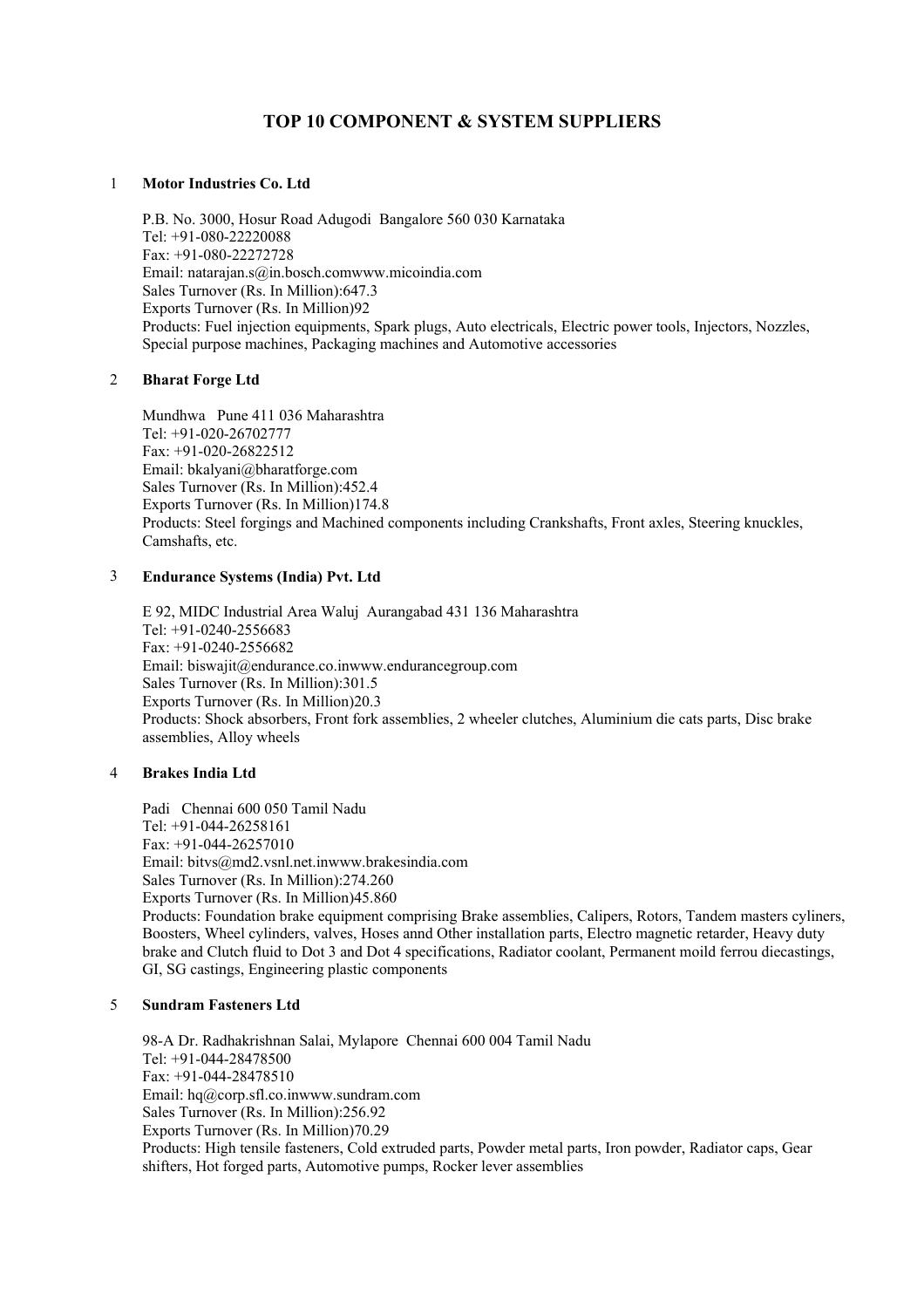# **TOP 10 COMPONENT & SYSTEM SUPPLIERS**

#### 1 **Motor Industries Co. Ltd**

P.B. No. 3000, Hosur Road Adugodi Bangalore 560 030 Karnataka Tel: +91-080-22220088 Fax: +91-080-22272728 Email: natarajan.s@in.bosch.comwww.micoindia.com Sales Turnover (Rs. In Million):647.3 Exports Turnover (Rs. In Million)92 Products: Fuel injection equipments, Spark plugs, Auto electricals, Electric power tools, Injectors, Nozzles, Special purpose machines, Packaging machines and Automotive accessories

## 2 **Bharat Forge Ltd**

Mundhwa Pune 411 036 Maharashtra Tel: +91-020-26702777 Fax: +91-020-26822512 Email: bkalyani@bharatforge.com Sales Turnover (Rs. In Million):452.4 Exports Turnover (Rs. In Million)174.8 Products: Steel forgings and Machined components including Crankshafts, Front axles, Steering knuckles, Camshafts, etc.

## 3 **Endurance Systems (India) Pvt. Ltd**

E 92, MIDC Industrial Area Waluj Aurangabad 431 136 Maharashtra Tel: +91-0240-2556683 Fax: +91-0240-2556682 Email: biswajit@endurance.co.inwww.endurancegroup.com Sales Turnover (Rs. In Million):301.5 Exports Turnover (Rs. In Million)20.3 Products: Shock absorbers, Front fork assemblies, 2 wheeler clutches, Aluminium die cats parts, Disc brake assemblies, Alloy wheels

# 4 **Brakes India Ltd**

Padi Chennai 600 050 Tamil Nadu Tel: +91-044-26258161  $Fax \cdot +91 - 044 - 26257010$ Email: bitvs@md2.vsnl.net.inwww.brakesindia.com Sales Turnover (Rs. In Million):274.260 Exports Turnover (Rs. In Million)45.860 Products: Foundation brake equipment comprising Brake assemblies, Calipers, Rotors, Tandem masters cyliners, Boosters, Wheel cylinders, valves, Hoses annd Other installation parts, Electro magnetic retarder, Heavy duty brake and Clutch fluid to Dot 3 and Dot 4 specifications, Radiator coolant, Permanent moild ferrou diecastings, GI, SG castings, Engineering plastic components

## 5 **Sundram Fasteners Ltd**

98-A Dr. Radhakrishnan Salai, Mylapore Chennai 600 004 Tamil Nadu Tel: +91-044-28478500 Fax: +91-044-28478510 Email: hq@corp.sfl.co.inwww.sundram.com Sales Turnover (Rs. In Million):256.92 Exports Turnover (Rs. In Million)70.29 Products: High tensile fasteners, Cold extruded parts, Powder metal parts, Iron powder, Radiator caps, Gear shifters, Hot forged parts, Automotive pumps, Rocker lever assemblies